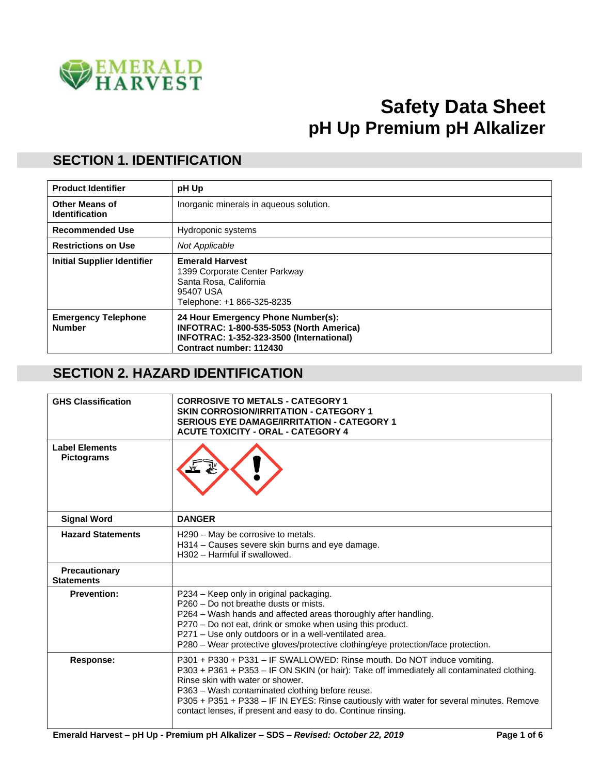

# **Safety Data Sheet pH Up Premium pH Alkalizer**

#### **SECTION 1. IDENTIFICATION**

| <b>Product Identifier</b>                      | pH Up                                                                                                                                                 |
|------------------------------------------------|-------------------------------------------------------------------------------------------------------------------------------------------------------|
| <b>Other Means of</b><br><b>Identification</b> | Inorganic minerals in aqueous solution.                                                                                                               |
| <b>Recommended Use</b>                         | Hydroponic systems                                                                                                                                    |
| <b>Restrictions on Use</b>                     | Not Applicable                                                                                                                                        |
| <b>Initial Supplier Identifier</b>             | <b>Emerald Harvest</b><br>1399 Corporate Center Parkway<br>Santa Rosa, California<br>95407 USA<br>Telephone: +1 866-325-8235                          |
| <b>Emergency Telephone</b><br><b>Number</b>    | 24 Hour Emergency Phone Number(s):<br>INFOTRAC: 1-800-535-5053 (North America)<br>INFOTRAC: 1-352-323-3500 (International)<br>Contract number: 112430 |

#### **SECTION 2. HAZARD IDENTIFICATION**

| <b>GHS Classification</b>                  | <b>CORROSIVE TO METALS - CATEGORY 1</b><br><b>SKIN CORROSION/IRRITATION - CATEGORY 1</b><br><b>SERIOUS EYE DAMAGE/IRRITATION - CATEGORY 1</b><br><b>ACUTE TOXICITY - ORAL - CATEGORY 4</b>                                                                                                                                                                                                                               |
|--------------------------------------------|--------------------------------------------------------------------------------------------------------------------------------------------------------------------------------------------------------------------------------------------------------------------------------------------------------------------------------------------------------------------------------------------------------------------------|
| <b>Label Flements</b><br><b>Pictograms</b> |                                                                                                                                                                                                                                                                                                                                                                                                                          |
| <b>Signal Word</b>                         | <b>DANGER</b>                                                                                                                                                                                                                                                                                                                                                                                                            |
| <b>Hazard Statements</b>                   | H290 - May be corrosive to metals.<br>H314 - Causes severe skin burns and eye damage.<br>H302 - Harmful if swallowed.                                                                                                                                                                                                                                                                                                    |
| Precautionary<br><b>Statements</b>         |                                                                                                                                                                                                                                                                                                                                                                                                                          |
| <b>Prevention:</b>                         | P234 - Keep only in original packaging.<br>P260 - Do not breathe dusts or mists.<br>P264 - Wash hands and affected areas thoroughly after handling.<br>P270 - Do not eat, drink or smoke when using this product.<br>P271 - Use only outdoors or in a well-ventilated area.<br>P280 - Wear protective gloves/protective clothing/eye protection/face protection.                                                         |
| <b>Response:</b>                           | P301 + P330 + P331 - IF SWALLOWED: Rinse mouth. Do NOT induce vomiting.<br>P303 + P361 + P353 - IF ON SKIN (or hair): Take off immediately all contaminated clothing.<br>Rinse skin with water or shower.<br>P363 - Wash contaminated clothing before reuse.<br>P305 + P351 + P338 - IF IN EYES: Rinse cautiously with water for several minutes. Remove<br>contact lenses, if present and easy to do. Continue rinsing. |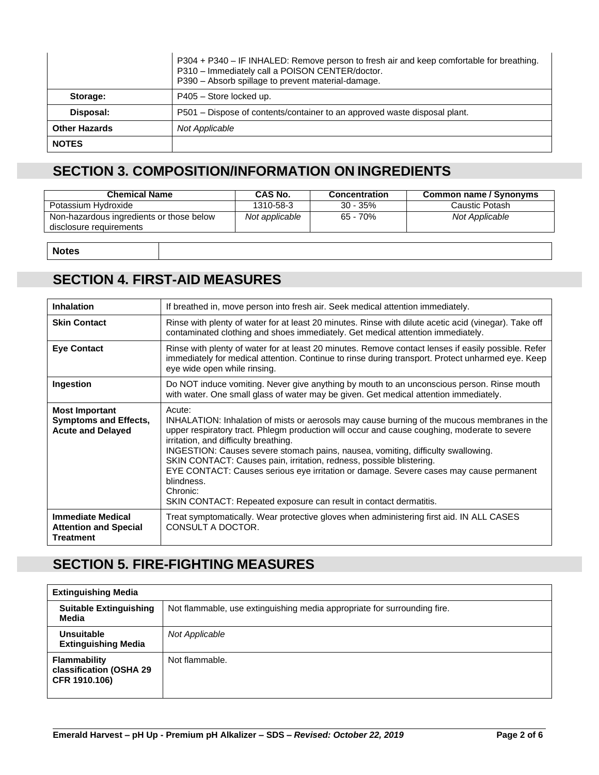|                      | P304 + P340 - IF INHALED: Remove person to fresh air and keep comfortable for breathing.<br>P310 - Immediately call a POISON CENTER/doctor.<br>P390 - Absorb spillage to prevent material-damage. |
|----------------------|---------------------------------------------------------------------------------------------------------------------------------------------------------------------------------------------------|
| Storage:             | P405 - Store locked up.                                                                                                                                                                           |
| Disposal:            | P501 – Dispose of contents/container to an approved waste disposal plant.                                                                                                                         |
| <b>Other Hazards</b> | Not Applicable                                                                                                                                                                                    |
| <b>NOTES</b>         |                                                                                                                                                                                                   |

# **SECTION 3. COMPOSITION/INFORMATION ON INGREDIENTS**

| <b>Chemical Name</b>                                                | CAS No.        | <b>Concentration</b> | Common name / Synonyms |
|---------------------------------------------------------------------|----------------|----------------------|------------------------|
| Potassium Hydroxide                                                 | 1310-58-3      | $30 - 35\%$          | Caustic Potash         |
| Non-hazardous ingredients or those below<br>disclosure requirements | Not applicable | 65 - 70%             | Not Applicable         |
|                                                                     |                |                      |                        |

**Notes**

#### **SECTION 4. FIRST-AID MEASURES**

| <b>Inhalation</b>                                                                 | If breathed in, move person into fresh air. Seek medical attention immediately.                                                                                                                                                                                                                                                                                                                                                                                                                                                                                                                      |  |  |
|-----------------------------------------------------------------------------------|------------------------------------------------------------------------------------------------------------------------------------------------------------------------------------------------------------------------------------------------------------------------------------------------------------------------------------------------------------------------------------------------------------------------------------------------------------------------------------------------------------------------------------------------------------------------------------------------------|--|--|
|                                                                                   |                                                                                                                                                                                                                                                                                                                                                                                                                                                                                                                                                                                                      |  |  |
| <b>Skin Contact</b>                                                               | Rinse with plenty of water for at least 20 minutes. Rinse with dilute acetic acid (vinegar). Take off<br>contaminated clothing and shoes immediately. Get medical attention immediately.                                                                                                                                                                                                                                                                                                                                                                                                             |  |  |
| <b>Eye Contact</b>                                                                | Rinse with plenty of water for at least 20 minutes. Remove contact lenses if easily possible. Refer<br>immediately for medical attention. Continue to rinse during transport. Protect unharmed eye. Keep<br>eye wide open while rinsing.                                                                                                                                                                                                                                                                                                                                                             |  |  |
| Ingestion                                                                         | Do NOT induce vomiting. Never give anything by mouth to an unconscious person. Rinse mouth<br>with water. One small glass of water may be given. Get medical attention immediately.                                                                                                                                                                                                                                                                                                                                                                                                                  |  |  |
| <b>Most Important</b><br><b>Symptoms and Effects,</b><br><b>Acute and Delayed</b> | Acute:<br>INHALATION: Inhalation of mists or aerosols may cause burning of the mucous membranes in the<br>upper respiratory tract. Phlegm production will occur and cause coughing, moderate to severe<br>irritation, and difficulty breathing.<br>INGESTION: Causes severe stomach pains, nausea, vomiting, difficulty swallowing.<br>SKIN CONTACT: Causes pain, irritation, redness, possible blistering.<br>EYE CONTACT: Causes serious eye irritation or damage. Severe cases may cause permanent<br>blindness.<br>Chronic:<br>SKIN CONTACT: Repeated exposure can result in contact dermatitis. |  |  |
| <b>Immediate Medical</b><br><b>Attention and Special</b><br><b>Treatment</b>      | Treat symptomatically. Wear protective gloves when administering first aid. IN ALL CASES<br>CONSULT A DOCTOR.                                                                                                                                                                                                                                                                                                                                                                                                                                                                                        |  |  |

# **SECTION 5. FIRE-FIGHTING MEASURES**

| <b>Extinguishing Media</b>                                      |                                                                          |  |  |
|-----------------------------------------------------------------|--------------------------------------------------------------------------|--|--|
| <b>Suitable Extinguishing</b><br>Media                          | Not flammable, use extinguishing media appropriate for surrounding fire. |  |  |
| Unsuitable<br><b>Extinguishing Media</b>                        | Not Applicable                                                           |  |  |
| <b>Flammability</b><br>classification (OSHA 29<br>CFR 1910.106) | Not flammable.                                                           |  |  |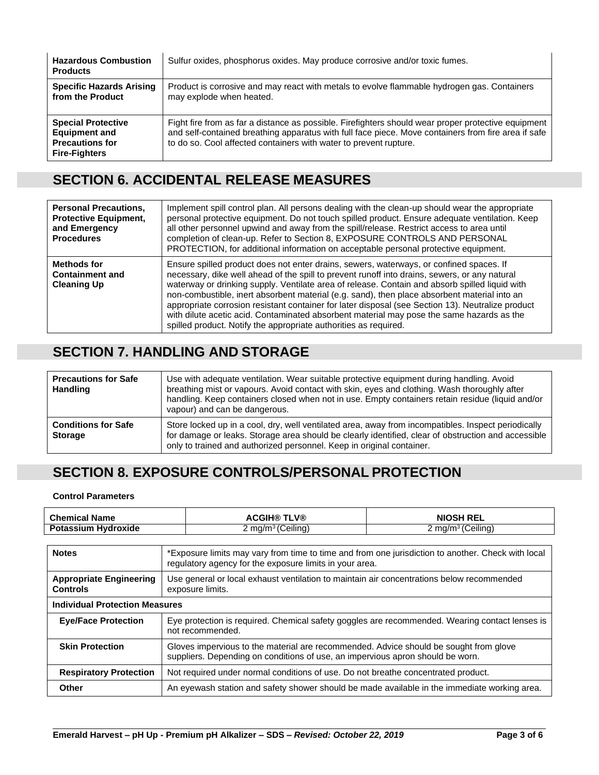| <b>Hazardous Combustion</b><br><b>Products</b>                                                      | Sulfur oxides, phosphorus oxides. May produce corrosive and/or toxic fumes.                                                                                                                                                                                                     |
|-----------------------------------------------------------------------------------------------------|---------------------------------------------------------------------------------------------------------------------------------------------------------------------------------------------------------------------------------------------------------------------------------|
| <b>Specific Hazards Arising</b><br>from the Product                                                 | Product is corrosive and may react with metals to evolve flammable hydrogen gas. Containers<br>may explode when heated.                                                                                                                                                         |
| <b>Special Protective</b><br><b>Equipment and</b><br><b>Precautions for</b><br><b>Fire-Fighters</b> | Fight fire from as far a distance as possible. Firefighters should wear proper protective equipment<br>and self-contained breathing apparatus with full face piece. Move containers from fire area if safe<br>to do so. Cool affected containers with water to prevent rupture. |

# **SECTION 6. ACCIDENTAL RELEASE MEASURES**

| <b>Personal Precautions,</b><br><b>Protective Equipment,</b><br>and Emergency<br><b>Procedures</b> | Implement spill control plan. All persons dealing with the clean-up should wear the appropriate<br>personal protective equipment. Do not touch spilled product. Ensure adequate ventilation. Keep<br>all other personnel upwind and away from the spill/release. Restrict access to area until<br>completion of clean-up. Refer to Section 8, EXPOSURE CONTROLS AND PERSONAL<br>PROTECTION, for additional information on acceptable personal protective equipment.                                                                                                                                                                                              |
|----------------------------------------------------------------------------------------------------|------------------------------------------------------------------------------------------------------------------------------------------------------------------------------------------------------------------------------------------------------------------------------------------------------------------------------------------------------------------------------------------------------------------------------------------------------------------------------------------------------------------------------------------------------------------------------------------------------------------------------------------------------------------|
| Methods for<br><b>Containment and</b><br><b>Cleaning Up</b>                                        | Ensure spilled product does not enter drains, sewers, waterways, or confined spaces. If<br>necessary, dike well ahead of the spill to prevent runoff into drains, sewers, or any natural<br>waterway or drinking supply. Ventilate area of release. Contain and absorb spilled liquid with<br>non-combustible, inert absorbent material (e.g. sand), then place absorbent material into an<br>appropriate corrosion resistant container for later disposal (see Section 13). Neutralize product<br>with dilute acetic acid. Contaminated absorbent material may pose the same hazards as the<br>spilled product. Notify the appropriate authorities as required. |

### **SECTION 7. HANDLING AND STORAGE**

| <b>Precautions for Safe</b><br><b>Handling</b> | Use with adequate ventilation. Wear suitable protective equipment during handling. Avoid<br>breathing mist or vapours. Avoid contact with skin, eyes and clothing. Wash thoroughly after<br>handling. Keep containers closed when not in use. Empty containers retain residue (liquid and/or<br>vapour) and can be dangerous. |
|------------------------------------------------|-------------------------------------------------------------------------------------------------------------------------------------------------------------------------------------------------------------------------------------------------------------------------------------------------------------------------------|
| <b>Conditions for Safe</b><br><b>Storage</b>   | Store locked up in a cool, dry, well ventilated area, away from incompatibles. Inspect periodically<br>for damage or leaks. Storage area should be clearly identified, clear of obstruction and accessible<br>only to trained and authorized personnel. Keep in original container.                                           |

# **SECTION 8. EXPOSURE CONTROLS/PERSONAL PROTECTION**

#### **Control Parameters**

| <b>NIOSH REL</b>             |
|------------------------------|
| `ma/m <sup>3</sup> (Ceilina) |
|                              |

| <b>Notes</b>                                      | *Exposure limits may vary from time to time and from one jurisdiction to another. Check with local<br>regulatory agency for the exposure limits in your area.           |  |  |
|---------------------------------------------------|-------------------------------------------------------------------------------------------------------------------------------------------------------------------------|--|--|
| <b>Appropriate Engineering</b><br><b>Controls</b> | Use general or local exhaust ventilation to maintain air concentrations below recommended<br>exposure limits.                                                           |  |  |
| <b>Individual Protection Measures</b>             |                                                                                                                                                                         |  |  |
| <b>Eye/Face Protection</b>                        | Eye protection is required. Chemical safety goggles are recommended. Wearing contact lenses is<br>not recommended.                                                      |  |  |
| <b>Skin Protection</b>                            | Gloves impervious to the material are recommended. Advice should be sought from glove<br>suppliers. Depending on conditions of use, an impervious apron should be worn. |  |  |
| <b>Respiratory Protection</b>                     | Not required under normal conditions of use. Do not breathe concentrated product.                                                                                       |  |  |
| Other                                             | An eyewash station and safety shower should be made available in the immediate working area.                                                                            |  |  |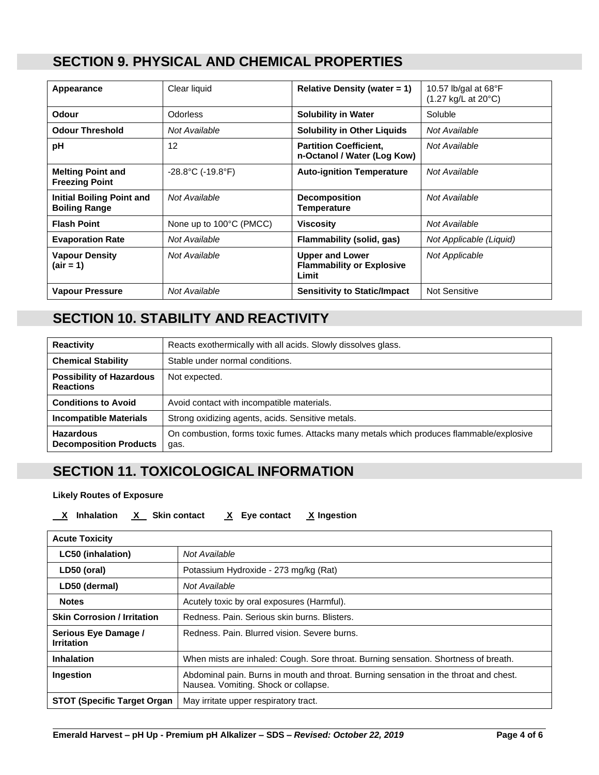#### **SECTION 9. PHYSICAL AND CHEMICAL PROPERTIES**

| Appearance                                               | Clear liquid                           | Relative Density (water $= 1$ )                                     | 10.57 lb/gal at $68^{\circ}F$<br>(1.27 kg/L at 20°C) |
|----------------------------------------------------------|----------------------------------------|---------------------------------------------------------------------|------------------------------------------------------|
| <b>Odour</b>                                             | <b>Odorless</b>                        | <b>Solubility in Water</b>                                          | Soluble                                              |
| <b>Odour Threshold</b>                                   | Not Available                          | <b>Solubility in Other Liquids</b>                                  | Not Available                                        |
| рH                                                       | 12                                     | <b>Partition Coefficient,</b><br>n-Octanol / Water (Log Kow)        | Not Available                                        |
| <b>Melting Point and</b><br><b>Freezing Point</b>        | $-28.8^{\circ}$ C (-19.8 $^{\circ}$ F) | <b>Auto-ignition Temperature</b>                                    | Not Available                                        |
| <b>Initial Boiling Point and</b><br><b>Boiling Range</b> | Not Available                          | <b>Decomposition</b><br>Temperature                                 | Not Available                                        |
| <b>Flash Point</b>                                       | None up to 100°C (PMCC)                | <b>Viscosity</b>                                                    | Not Available                                        |
| <b>Evaporation Rate</b>                                  | Not Available                          | Flammability (solid, gas)                                           | Not Applicable (Liquid)                              |
| <b>Vapour Density</b><br>(air = 1)                       | Not Available                          | <b>Upper and Lower</b><br><b>Flammability or Explosive</b><br>Limit | Not Applicable                                       |
| <b>Vapour Pressure</b>                                   | Not Available                          | <b>Sensitivity to Static/Impact</b>                                 | <b>Not Sensitive</b>                                 |

# **SECTION 10. STABILITY AND REACTIVITY**

| <b>Reactivity</b>                                   | Reacts exothermically with all acids. Slowly dissolves glass.                                    |
|-----------------------------------------------------|--------------------------------------------------------------------------------------------------|
| <b>Chemical Stability</b>                           | Stable under normal conditions.                                                                  |
| <b>Possibility of Hazardous</b><br><b>Reactions</b> | Not expected.                                                                                    |
| <b>Conditions to Avoid</b>                          | Avoid contact with incompatible materials.                                                       |
| <b>Incompatible Materials</b>                       | Strong oxidizing agents, acids. Sensitive metals.                                                |
| <b>Hazardous</b><br><b>Decomposition Products</b>   | On combustion, forms toxic fumes. Attacks many metals which produces flammable/explosive<br>gas. |

### **SECTION 11. TOXICOLOGICAL INFORMATION**

#### **Likely Routes of Exposure**

**X Inhalation X Skin contact X Eye contact X Ingestion**

| <b>Acute Toxicity</b>                     |                                                                                                                               |
|-------------------------------------------|-------------------------------------------------------------------------------------------------------------------------------|
| <b>LC50 (inhalation)</b>                  | Not Available                                                                                                                 |
| LD50 (oral)                               | Potassium Hydroxide - 273 mg/kg (Rat)                                                                                         |
| LD50 (dermal)                             | Not Available                                                                                                                 |
| <b>Notes</b>                              | Acutely toxic by oral exposures (Harmful).                                                                                    |
| <b>Skin Corrosion / Irritation</b>        | Redness, Pain, Serious skin burns, Blisters,                                                                                  |
| Serious Eye Damage /<br><b>Irritation</b> | Redness, Pain, Blurred vision, Severe burns,                                                                                  |
| <b>Inhalation</b>                         | When mists are inhaled: Cough. Sore throat. Burning sensation. Shortness of breath.                                           |
| Ingestion                                 | Abdominal pain. Burns in mouth and throat. Burning sensation in the throat and chest.<br>Nausea. Vomiting. Shock or collapse. |
| <b>STOT (Specific Target Organ</b>        | May irritate upper respiratory tract.                                                                                         |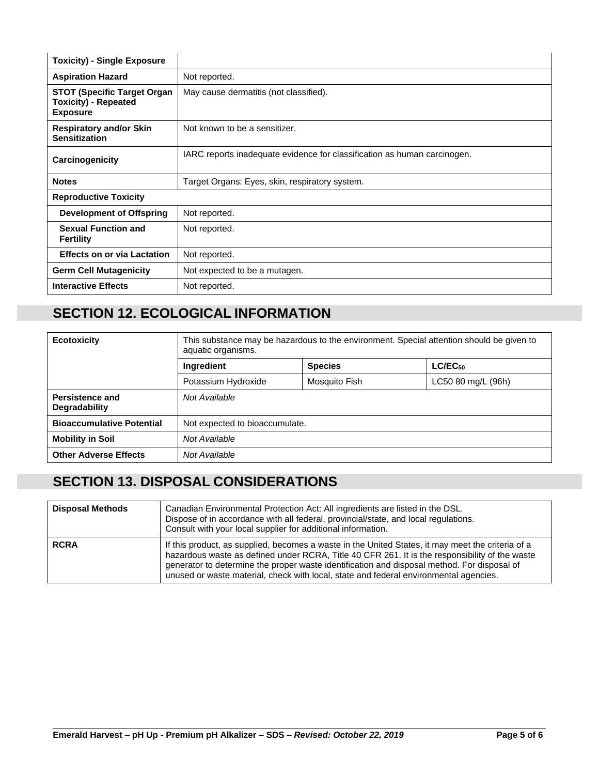| <b>Toxicity) - Single Exposure</b>                                                    |                                                                          |
|---------------------------------------------------------------------------------------|--------------------------------------------------------------------------|
| <b>Aspiration Hazard</b>                                                              | Not reported.                                                            |
| <b>STOT (Specific Target Organ)</b><br><b>Toxicity) - Repeated</b><br><b>Exposure</b> | May cause dermatitis (not classified).                                   |
| <b>Respiratory and/or Skin</b><br><b>Sensitization</b>                                | Not known to be a sensitizer.                                            |
| Carcinogenicity                                                                       | IARC reports inadequate evidence for classification as human carcinogen. |
| <b>Notes</b>                                                                          | Target Organs: Eyes, skin, respiratory system.                           |
| <b>Reproductive Toxicity</b>                                                          |                                                                          |
| Development of Offspring                                                              | Not reported.                                                            |
| <b>Sexual Function and</b><br><b>Fertility</b>                                        | Not reported.                                                            |
| <b>Effects on or via Lactation</b>                                                    | Not reported.                                                            |
| <b>Germ Cell Mutagenicity</b>                                                         | Not expected to be a mutagen.                                            |
| <b>Interactive Effects</b>                                                            | Not reported.                                                            |

# **SECTION 12. ECOLOGICAL INFORMATION**

| <b>Ecotoxicity</b>                      | This substance may be hazardous to the environment. Special attention should be given to<br>aquatic organisms. |                |                    |  |
|-----------------------------------------|----------------------------------------------------------------------------------------------------------------|----------------|--------------------|--|
|                                         | <b>Ingredient</b>                                                                                              | <b>Species</b> | $LC/EC_{50}$       |  |
|                                         | Potassium Hydroxide                                                                                            | Mosquito Fish  | LC50 80 mg/L (96h) |  |
| <b>Persistence and</b><br>Degradability | Not Available                                                                                                  |                |                    |  |
| <b>Bioaccumulative Potential</b>        | Not expected to bioaccumulate.                                                                                 |                |                    |  |
| <b>Mobility in Soil</b>                 | Not Available                                                                                                  |                |                    |  |
| <b>Other Adverse Effects</b>            | Not Available                                                                                                  |                |                    |  |

# **SECTION 13. DISPOSAL CONSIDERATIONS**

| <b>Disposal Methods</b> | Canadian Environmental Protection Act: All ingredients are listed in the DSL.<br>Dispose of in accordance with all federal, provincial/state, and local regulations.<br>Consult with your local supplier for additional information.                                                                                                                                                        |
|-------------------------|---------------------------------------------------------------------------------------------------------------------------------------------------------------------------------------------------------------------------------------------------------------------------------------------------------------------------------------------------------------------------------------------|
| <b>RCRA</b>             | If this product, as supplied, becomes a waste in the United States, it may meet the criteria of a<br>hazardous waste as defined under RCRA, Title 40 CFR 261. It is the responsibility of the waste<br>generator to determine the proper waste identification and disposal method. For disposal of<br>unused or waste material, check with local, state and federal environmental agencies. |